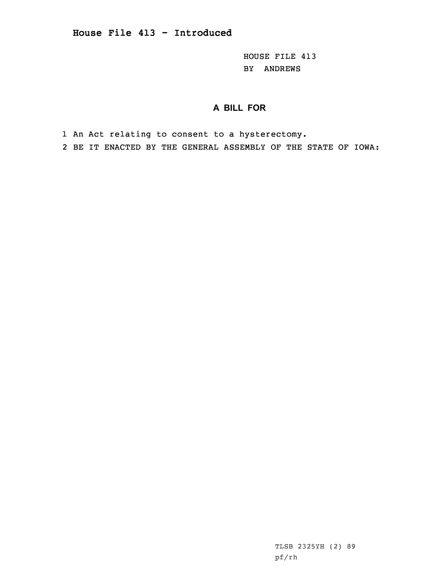HOUSE FILE 413 BY ANDREWS

## **A BILL FOR**

1 An Act relating to consent to <sup>a</sup> hysterectomy.

2 BE IT ENACTED BY THE GENERAL ASSEMBLY OF THE STATE OF IOWA:

TLSB 2325YH (2) 89 pf/rh